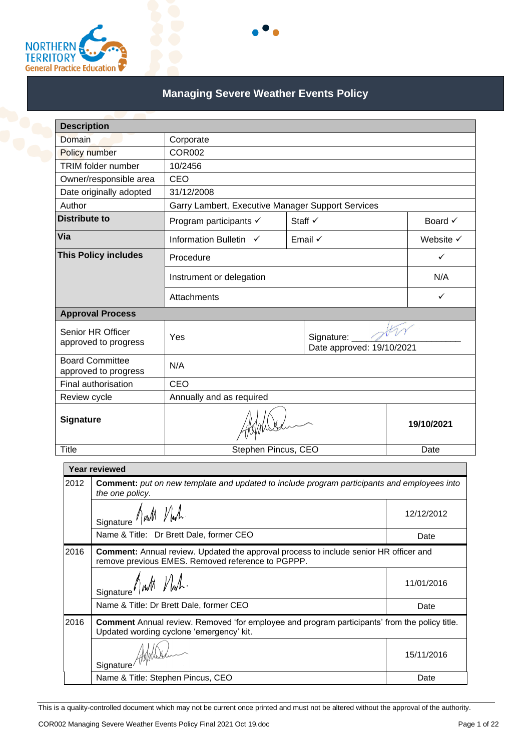

# **Managing Severe Weather Events Policy**

| <b>Description</b>                                                                                  | Corporate                                         |         |              |                    |
|-----------------------------------------------------------------------------------------------------|---------------------------------------------------|---------|--------------|--------------------|
| Domain                                                                                              |                                                   |         |              |                    |
| <b>Policy number</b>                                                                                | <b>COR002</b>                                     |         |              |                    |
| <b>TRIM</b> folder number                                                                           | 10/2456                                           |         |              |                    |
| Owner/responsible area                                                                              | CEO                                               |         |              |                    |
| Date originally adopted                                                                             | 31/12/2008                                        |         |              |                    |
| Author                                                                                              | Garry Lambert, Executive Manager Support Services |         |              |                    |
| <b>Distribute to</b>                                                                                | Program participants $\checkmark$                 | Staff √ |              | Board $\checkmark$ |
| Via                                                                                                 | Information Bulletin V                            | Email √ |              | Website V          |
| <b>This Policy includes</b>                                                                         | Procedure                                         |         | ✓            |                    |
|                                                                                                     | Instrument or delegation                          |         | N/A          |                    |
|                                                                                                     | Attachments                                       |         | $\checkmark$ |                    |
| <b>Approval Process</b>                                                                             |                                                   |         |              |                    |
| Senior HR Officer<br>approved to progress                                                           | Yes<br>Signature:<br>Date approved: 19/10/2021    |         |              |                    |
| <b>Board Committee</b><br>approved to progress                                                      | N/A<br>CEO<br>Annually and as required            |         |              |                    |
| Final authorisation                                                                                 |                                                   |         |              |                    |
| Review cycle                                                                                        |                                                   |         |              |                    |
| Signature                                                                                           |                                                   |         | 19/10/2021   |                    |
| <b>Title</b>                                                                                        | Stephen Pincus, CEO                               |         |              | Date               |
| Year reviewed                                                                                       |                                                   |         |              |                    |
| 2012<br>Comment: put on new template and updated to include program participants and employees into |                                                   |         |              |                    |

|      | Signature hut Nuh.                                                                                                                                | 12/12/2012 |  |
|------|---------------------------------------------------------------------------------------------------------------------------------------------------|------------|--|
|      | Name & Title: Dr Brett Dale, former CEO                                                                                                           | Date       |  |
| 2016 | <b>Comment:</b> Annual review. Updated the approval process to include senior HR officer and<br>remove previous EMES. Removed reference to PGPPP. |            |  |
|      | Signature <i>Awth Nwh</i> .                                                                                                                       | 11/01/2016 |  |
|      | Name & Title: Dr Brett Dale, former CEO                                                                                                           | Date       |  |
| 2016 | <b>Comment</b> Annual review. Removed 'for employee and program participants' from the policy title.<br>Updated wording cyclone 'emergency' kit.  |            |  |
|      | Signature                                                                                                                                         | 15/11/2016 |  |
|      | Name & Title: Stephen Pincus, CEO                                                                                                                 | Date       |  |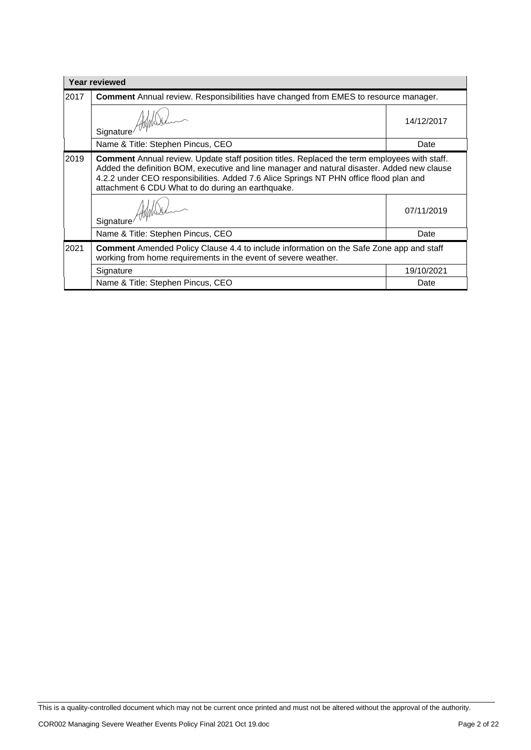| <b>Year reviewed</b> |                                                                                                                                                                                                                                                                                                                                                   |            |  |
|----------------------|---------------------------------------------------------------------------------------------------------------------------------------------------------------------------------------------------------------------------------------------------------------------------------------------------------------------------------------------------|------------|--|
| 2017                 | <b>Comment</b> Annual review. Responsibilities have changed from EMES to resource manager.                                                                                                                                                                                                                                                        |            |  |
|                      | Signature Alphalte                                                                                                                                                                                                                                                                                                                                | 14/12/2017 |  |
|                      | Name & Title: Stephen Pincus, CEO                                                                                                                                                                                                                                                                                                                 | Date       |  |
| 2019                 | <b>Comment</b> Annual review. Update staff position titles. Replaced the term employees with staff.<br>Added the definition BOM, executive and line manager and natural disaster. Added new clause<br>4.2.2 under CEO responsibilities. Added 7.6 Alice Springs NT PHN office flood plan and<br>attachment 6 CDU What to do during an earthquake. |            |  |
|                      | Signature Alphalt                                                                                                                                                                                                                                                                                                                                 | 07/11/2019 |  |
|                      | Name & Title: Stephen Pincus, CEO                                                                                                                                                                                                                                                                                                                 | Date       |  |
| 2021                 | <b>Comment</b> Amended Policy Clause 4.4 to include information on the Safe Zone app and staff<br>working from home requirements in the event of severe weather.                                                                                                                                                                                  |            |  |
|                      | Signature                                                                                                                                                                                                                                                                                                                                         | 19/10/2021 |  |
|                      | Name & Title: Stephen Pincus, CEO                                                                                                                                                                                                                                                                                                                 | Date       |  |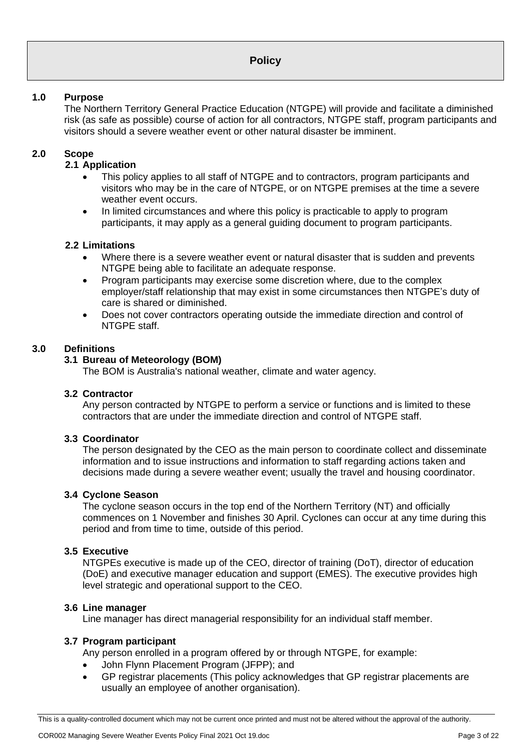#### **1.0 Purpose**

The Northern Territory General Practice Education (NTGPE) will provide and facilitate a diminished risk (as safe as possible) course of action for all contractors, NTGPE staff, program participants and visitors should a severe weather event or other natural disaster be imminent.

# **2.0 Scope**

#### **2.1 Application**

- This policy applies to all staff of NTGPE and to contractors, program participants and visitors who may be in the care of NTGPE, or on NTGPE premises at the time a severe weather event occurs.
- In limited circumstances and where this policy is practicable to apply to program participants, it may apply as a general guiding document to program participants.

#### **2.2 Limitations**

- Where there is a severe weather event or natural disaster that is sudden and prevents NTGPE being able to facilitate an adequate response.
- Program participants may exercise some discretion where, due to the complex employer/staff relationship that may exist in some circumstances then NTGPE's duty of care is shared or diminished.
- Does not cover contractors operating outside the immediate direction and control of NTGPE staff.

#### **3.0 Definitions**

#### **3.1 Bureau of Meteorology (BOM)**

The BOM is Australia's national weather, climate and water agency.

#### **3.2 Contractor**

Any person contracted by NTGPE to perform a service or functions and is limited to these contractors that are under the immediate direction and control of NTGPE staff.

#### **3.3 Coordinator**

The person designated by the CEO as the main person to coordinate collect and disseminate information and to issue instructions and information to staff regarding actions taken and decisions made during a severe weather event; usually the travel and housing coordinator.

#### **3.4 Cyclone Season**

The cyclone season occurs in the top end of the Northern Territory (NT) and officially commences on 1 November and finishes 30 April. Cyclones can occur at any time during this period and from time to time, outside of this period.

#### **3.5 Executive**

NTGPEs executive is made up of the CEO, director of training (DoT), director of education (DoE) and executive manager education and support (EMES). The executive provides high level strategic and operational support to the CEO.

#### **3.6 Line manager**

Line manager has direct managerial responsibility for an individual staff member.

#### **3.7 Program participant**

Any person enrolled in a program offered by or through NTGPE, for example:

- John Flynn Placement Program (JFPP); and
- GP registrar placements (This policy acknowledges that GP registrar placements are usually an employee of another organisation).

This is a quality-controlled document which may not be current once printed and must not be altered without the approval of the authority.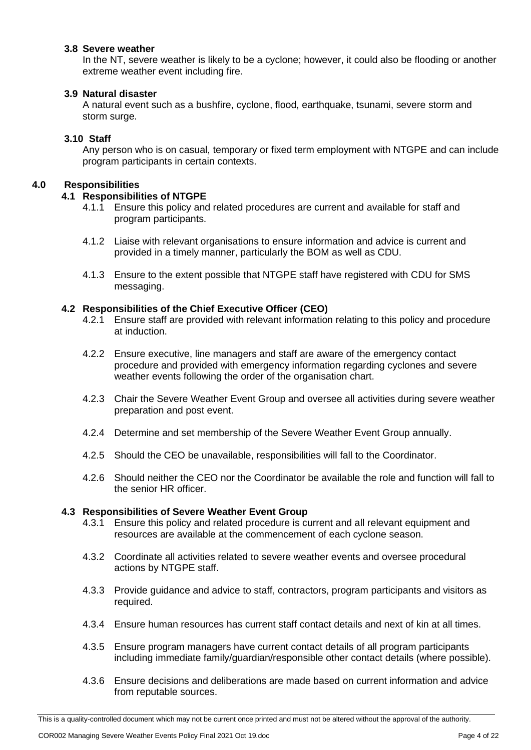#### **3.8 Severe weather**

In the NT, severe weather is likely to be a cyclone; however, it could also be flooding or another extreme weather event including fire.

#### **3.9 Natural disaster**

A natural event such as a bushfire, cyclone, flood, earthquake, tsunami, severe storm and storm surge.

#### **3.10 Staff**

Any person who is on casual, temporary or fixed term employment with NTGPE and can include program participants in certain contexts.

#### **4.0 Responsibilities**

#### **4.1 Responsibilities of NTGPE**

- 4.1.1 Ensure this policy and related procedures are current and available for staff and program participants.
- 4.1.2 Liaise with relevant organisations to ensure information and advice is current and provided in a timely manner, particularly the BOM as well as CDU.
- 4.1.3 Ensure to the extent possible that NTGPE staff have registered with CDU for SMS messaging.

#### **4.2 Responsibilities of the Chief Executive Officer (CEO)**

- 4.2.1 Ensure staff are provided with relevant information relating to this policy and procedure at induction.
- 4.2.2 Ensure executive, line managers and staff are aware of the emergency contact procedure and provided with emergency information regarding cyclones and severe weather events following the order of the organisation chart.
- 4.2.3 Chair the Severe Weather Event Group and oversee all activities during severe weather preparation and post event.
- 4.2.4 Determine and set membership of the Severe Weather Event Group annually.
- 4.2.5 Should the CEO be unavailable, responsibilities will fall to the Coordinator.
- 4.2.6 Should neither the CEO nor the Coordinator be available the role and function will fall to the senior HR officer.

#### **4.3 Responsibilities of Severe Weather Event Group**

- 4.3.1 Ensure this policy and related procedure is current and all relevant equipment and resources are available at the commencement of each cyclone season.
- 4.3.2 Coordinate all activities related to severe weather events and oversee procedural actions by NTGPE staff.
- 4.3.3 Provide guidance and advice to staff, contractors, program participants and visitors as required.
- 4.3.4 Ensure human resources has current staff contact details and next of kin at all times.
- 4.3.5 Ensure program managers have current contact details of all program participants including immediate family/guardian/responsible other contact details (where possible).
- 4.3.6 Ensure decisions and deliberations are made based on current information and advice from reputable sources.

This is a quality-controlled document which may not be current once printed and must not be altered without the approval of the authority.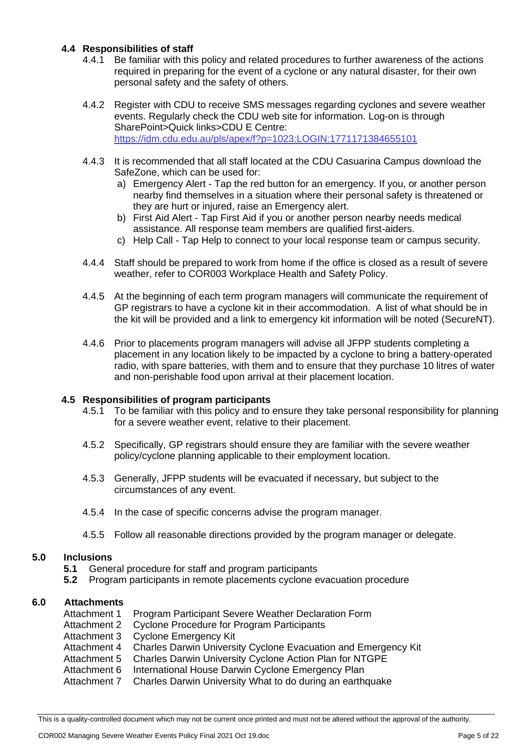#### **4.4 Responsibilities of staff**

- 4.4.1 Be familiar with this policy and related procedures to further awareness of the actions required in preparing for the event of a cyclone or any natural disaster, for their own personal safety and the safety of others.
- 4.4.2 Register with CDU to receive SMS messages regarding cyclones and severe weather events. Regularly check the CDU web site for information. Log-on is through SharePoint>Quick links>CDU E Centre: <https://idm.cdu.edu.au/pls/apex/f?p=1023:LOGIN:1771171384655101>
- 4.4.3 It is recommended that all staff located at the CDU Casuarina Campus download the SafeZone, which can be used for:
	- a) Emergency Alert Tap the red button for an emergency. If you, or another person nearby find themselves in a situation where their personal safety is threatened or they are hurt or injured, raise an Emergency alert.
	- b) First Aid Alert Tap First Aid if you or another person nearby needs medical assistance. All response team members are qualified first-aiders.
	- c) Help Call Tap Help to connect to your local response team or campus security.
- 4.4.4 Staff should be prepared to work from home if the office is closed as a result of severe weather, refer to COR003 Workplace Health and Safety Policy.
- 4.4.5 At the beginning of each term program managers will communicate the requirement of GP registrars to have a cyclone kit in their accommodation. A list of what should be in the kit will be provided and a link to emergency kit information will be noted (SecureNT).
- 4.4.6 Prior to placements program managers will advise all JFPP students completing a placement in any location likely to be impacted by a cyclone to bring a battery-operated radio, with spare batteries, with them and to ensure that they purchase 10 litres of water and non-perishable food upon arrival at their placement location.

#### **4.5 Responsibilities of program participants**

- 4.5.1 To be familiar with this policy and to ensure they take personal responsibility for planning for a severe weather event, relative to their placement.
- 4.5.2 Specifically, GP registrars should ensure they are familiar with the severe weather policy/cyclone planning applicable to their employment location.
- 4.5.3 Generally, JFPP students will be evacuated if necessary, but subject to the circumstances of any event.
- 4.5.4 In the case of specific concerns advise the program manager.
- 4.5.5 Follow all reasonable directions provided by the program manager or delegate.

#### **5.0 Inclusions**

- **5.1** General procedure for staff and program participants
- **5.2** Program participants in remote placements cyclone evacuation procedure

#### **6.0 Attachments**

- Attachment 1 Program Participant Severe Weather Declaration Form
- Attachment 2 Cyclone Procedure for Program Participants
- Attachment 3 Cyclone Emergency Kit
- Attachment 4 Charles Darwin University Cyclone Evacuation and Emergency Kit
- Attachment 5 Charles Darwin University Cyclone Action Plan for NTGPE
- Attachment 6 International House Darwin Cyclone Emergency Plan
- Attachment 7 Charles Darwin University What to do during an earthquake

This is a quality-controlled document which may not be current once printed and must not be altered without the approval of the authority.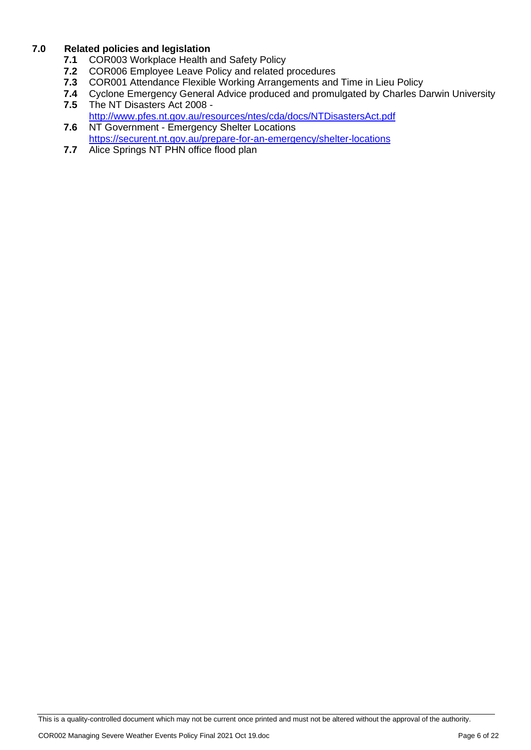#### **7.0 Related policies and legislation**

- **7.1** COR003 Workplace Health and Safety Policy
- **7.2** COR006 Employee Leave Policy and related procedures<br>**7.3** COR001 Attendance Flexible Working Arrangements and
- **7.3** COR001 Attendance Flexible Working Arrangements and Time in Lieu Policy
- **7.4** Cyclone Emergency General Advice produced and promulgated by Charles Darwin University<br>**7.5** The NT Disasters Act 2008 -**7.5** The NT Disasters Act 2008 -
- <http://www.pfes.nt.gov.au/resources/ntes/cda/docs/NTDisastersAct.pdf>
- **7.6** NT Government Emergency Shelter Locations <https://securent.nt.gov.au/prepare-for-an-emergency/shelter-locations>
- **7.7** Alice Springs NT PHN office flood plan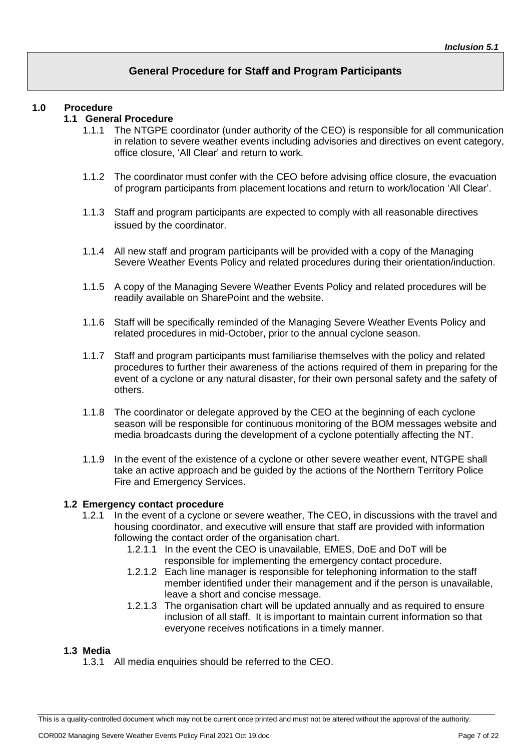# **General Procedure for Staff and Program Participants**

#### **1.0 Procedure**

#### **1.1 General Procedure**

- 1.1.1 The NTGPE coordinator (under authority of the CEO) is responsible for all communication in relation to severe weather events including advisories and directives on event category, office closure, 'All Clear' and return to work.
- 1.1.2 The coordinator must confer with the CEO before advising office closure, the evacuation of program participants from placement locations and return to work/location 'All Clear'.
- 1.1.3 Staff and program participants are expected to comply with all reasonable directives issued by the coordinator.
- 1.1.4 All new staff and program participants will be provided with a copy of the Managing Severe Weather Events Policy and related procedures during their orientation/induction.
- 1.1.5 A copy of the Managing Severe Weather Events Policy and related procedures will be readily available on SharePoint and the website.
- 1.1.6 Staff will be specifically reminded of the Managing Severe Weather Events Policy and related procedures in mid-October, prior to the annual cyclone season.
- 1.1.7 Staff and program participants must familiarise themselves with the policy and related procedures to further their awareness of the actions required of them in preparing for the event of a cyclone or any natural disaster, for their own personal safety and the safety of others.
- 1.1.8 The coordinator or delegate approved by the CEO at the beginning of each cyclone season will be responsible for continuous monitoring of the BOM messages website and media broadcasts during the development of a cyclone potentially affecting the NT.
- 1.1.9 In the event of the existence of a cyclone or other severe weather event, NTGPE shall take an active approach and be guided by the actions of the Northern Territory Police Fire and Emergency Services.

#### **1.2 Emergency contact procedure**

- 1.2.1 In the event of a cyclone or severe weather, The CEO, in discussions with the travel and housing coordinator, and executive will ensure that staff are provided with information following the contact order of the organisation chart.
	- 1.2.1.1 In the event the CEO is unavailable, EMES, DoE and DoT will be responsible for implementing the emergency contact procedure.
	- 1.2.1.2 Each line manager is responsible for telephoning information to the staff member identified under their management and if the person is unavailable, leave a short and concise message.
	- 1.2.1.3 The organisation chart will be updated annually and as required to ensure inclusion of all staff. It is important to maintain current information so that everyone receives notifications in a timely manner.

#### **1.3 Media**

1.3.1 All media enquiries should be referred to the CEO.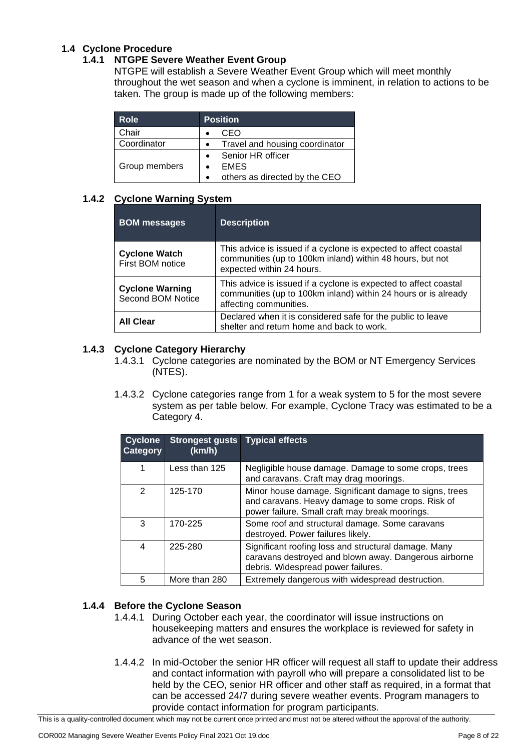# **1.4 Cyclone Procedure**

#### **1.4.1 NTGPE Severe Weather Event Group**

NTGPE will establish a Severe Weather Event Group which will meet monthly throughout the wet season and when a cyclone is imminent, in relation to actions to be taken. The group is made up of the following members:

| Role          | <b>Position</b>                |  |
|---------------|--------------------------------|--|
| Chair         | CEO                            |  |
| Coordinator   | Travel and housing coordinator |  |
|               | Senior HR officer              |  |
| Group members | <b>EMES</b>                    |  |
|               | others as directed by the CEO  |  |

#### **1.4.2 Cyclone Warning System**

| <b>BOM</b> messages                         | <b>Description</b>                                                                                                                                           |
|---------------------------------------------|--------------------------------------------------------------------------------------------------------------------------------------------------------------|
| <b>Cyclone Watch</b><br>First BOM notice    | This advice is issued if a cyclone is expected to affect coastal<br>communities (up to 100km inland) within 48 hours, but not<br>expected within 24 hours.   |
| <b>Cyclone Warning</b><br>Second BOM Notice | This advice is issued if a cyclone is expected to affect coastal<br>communities (up to 100km inland) within 24 hours or is already<br>affecting communities. |
| <b>All Clear</b>                            | Declared when it is considered safe for the public to leave<br>shelter and return home and back to work.                                                     |

#### **1.4.3 Cyclone Category Hierarchy**

- 1.4.3.1 Cyclone categories are nominated by the BOM or NT Emergency Services (NTES).
- 1.4.3.2 Cyclone categories range from 1 for a weak system to 5 for the most severe system as per table below. For example, Cyclone Tracy was estimated to be a Category 4.

| <b>Cyclone</b><br><b>Category</b> | <b>Strongest gusts</b><br>(km/h) | <b>Typical effects</b>                                                                                                                                        |
|-----------------------------------|----------------------------------|---------------------------------------------------------------------------------------------------------------------------------------------------------------|
| 1                                 | Less than 125                    | Negligible house damage. Damage to some crops, trees<br>and caravans. Craft may drag moorings.                                                                |
| 2                                 | 125-170                          | Minor house damage. Significant damage to signs, trees<br>and caravans. Heavy damage to some crops. Risk of<br>power failure. Small craft may break moorings. |
| 3                                 | 170-225                          | Some roof and structural damage. Some caravans<br>destroyed. Power failures likely.                                                                           |
| $\overline{4}$                    | 225-280                          | Significant roofing loss and structural damage. Many<br>caravans destroyed and blown away. Dangerous airborne<br>debris. Widespread power failures.           |
| 5                                 | More than 280                    | Extremely dangerous with widespread destruction.                                                                                                              |

# **1.4.4 Before the Cyclone Season**

- 1.4.4.1 During October each year, the coordinator will issue instructions on housekeeping matters and ensures the workplace is reviewed for safety in advance of the wet season.
- 1.4.4.2 In mid-October the senior HR officer will request all staff to update their address and contact information with payroll who will prepare a consolidated list to be held by the CEO, senior HR officer and other staff as required, in a format that can be accessed 24/7 during severe weather events. Program managers to provide contact information for program participants.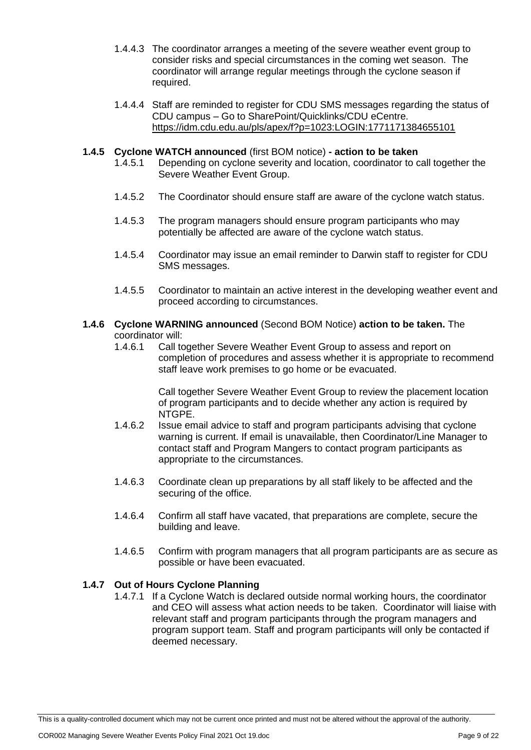- 1.4.4.3 The coordinator arranges a meeting of the severe weather event group to consider risks and special circumstances in the coming wet season. The coordinator will arrange regular meetings through the cyclone season if required.
- 1.4.4.4 Staff are reminded to register for CDU SMS messages regarding the status of CDU campus – Go to SharePoint/Quicklinks/CDU eCentre. <https://idm.cdu.edu.au/pls/apex/f?p=1023:LOGIN:1771171384655101>

# **1.4.5 Cyclone WATCH announced** (first BOM notice) **- action to be taken**

- Depending on cyclone severity and location, coordinator to call together the Severe Weather Event Group.
- 1.4.5.2 The Coordinator should ensure staff are aware of the cyclone watch status.
- 1.4.5.3 The program managers should ensure program participants who may potentially be affected are aware of the cyclone watch status.
- 1.4.5.4 Coordinator may issue an email reminder to Darwin staff to register for CDU SMS messages.
- 1.4.5.5 Coordinator to maintain an active interest in the developing weather event and proceed according to circumstances.

# **1.4.6 Cyclone WARNING announced** (Second BOM Notice) **action to be taken.** The coordinator will:<br>1.4.6.1 Call to

Call together Severe Weather Event Group to assess and report on completion of procedures and assess whether it is appropriate to recommend staff leave work premises to go home or be evacuated.

> Call together Severe Weather Event Group to review the placement location of program participants and to decide whether any action is required by NTGPE.

- 1.4.6.2 Issue email advice to staff and program participants advising that cyclone warning is current. If email is unavailable, then Coordinator/Line Manager to contact staff and Program Mangers to contact program participants as appropriate to the circumstances.
- 1.4.6.3 Coordinate clean up preparations by all staff likely to be affected and the securing of the office.
- 1.4.6.4 Confirm all staff have vacated, that preparations are complete, secure the building and leave.
- 1.4.6.5 Confirm with program managers that all program participants are as secure as possible or have been evacuated.

# **1.4.7 Out of Hours Cyclone Planning**

1.4.7.1 If a Cyclone Watch is declared outside normal working hours, the coordinator and CEO will assess what action needs to be taken. Coordinator will liaise with relevant staff and program participants through the program managers and program support team. Staff and program participants will only be contacted if deemed necessary.

This is a quality-controlled document which may not be current once printed and must not be altered without the approval of the authority.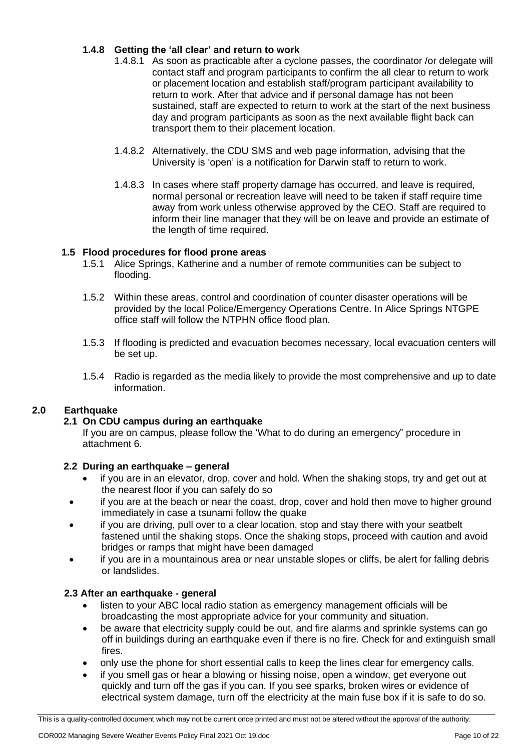# **1.4.8 Getting the 'all clear' and return to work**

- 1.4.8.1 As soon as practicable after a cyclone passes, the coordinator /or delegate will contact staff and program participants to confirm the all clear to return to work or placement location and establish staff/program participant availability to return to work. After that advice and if personal damage has not been sustained, staff are expected to return to work at the start of the next business day and program participants as soon as the next available flight back can transport them to their placement location.
- 1.4.8.2 Alternatively, the CDU SMS and web page information, advising that the University is 'open' is a notification for Darwin staff to return to work.
- 1.4.8.3 In cases where staff property damage has occurred, and leave is required, normal personal or recreation leave will need to be taken if staff require time away from work unless otherwise approved by the CEO. Staff are required to inform their line manager that they will be on leave and provide an estimate of the length of time required.

#### **1.5 Flood procedures for flood prone areas**

- 1.5.1 Alice Springs, Katherine and a number of remote communities can be subject to flooding.
- 1.5.2 Within these areas, control and coordination of counter disaster operations will be provided by the local Police/Emergency Operations Centre. In Alice Springs NTGPE office staff will follow the NTPHN office flood plan.
- 1.5.3 If flooding is predicted and evacuation becomes necessary, local evacuation centers will be set up.
- 1.5.4 Radio is regarded as the media likely to provide the most comprehensive and up to date information.

# **2.0 Earthquake**

#### **2.1 On CDU campus during an earthquake**

If you are on campus, please follow the 'What to do during an emergency" procedure in attachment 6.

#### **2.2 During an earthquake – general**

- if you are in an elevator, drop, cover and hold. When the shaking stops, try and get out at the nearest floor if you can safely do so
- if you are at the beach or near the coast, drop, cover and hold then move to higher ground immediately in case a tsunami follow the quake
- if you are driving, pull over to a clear location, stop and stay there with your seatbelt fastened until the shaking stops. Once the shaking stops, proceed with caution and avoid bridges or ramps that might have been damaged
- if you are in a mountainous area or near unstable slopes or cliffs, be alert for falling debris or landslides.

#### **2.3 After an earthquake - general**

- listen to your ABC local radio station as emergency management officials will be broadcasting the most appropriate advice for your community and situation.
- be aware that electricity supply could be out, and fire alarms and sprinkle systems can go off in buildings during an earthquake even if there is no fire. Check for and extinguish small fires.
- only use the phone for short essential calls to keep the lines clear for emergency calls.
- if you smell gas or hear a blowing or hissing noise, open a window, get everyone out quickly and turn off the gas if you can. If you see sparks, broken wires or evidence of electrical system damage, turn off the electricity at the main fuse box if it is safe to do so.

This is a quality-controlled document which may not be current once printed and must not be altered without the approval of the authority.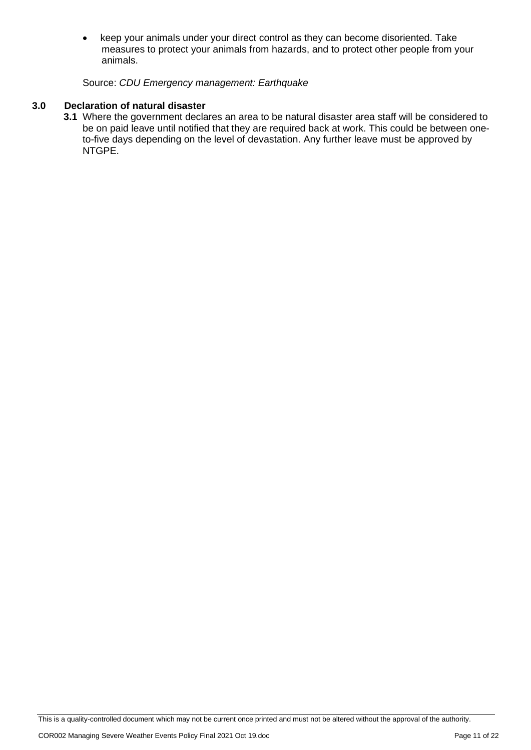• keep your animals under your direct control as they can become disoriented. Take measures to protect your animals from hazards, and to protect other people from your animals.

#### Source: *CDU Emergency management: Earthquake*

#### **3.0 Declaration of natural disaster**

**3.1** Where the government declares an area to be natural disaster area staff will be considered to be on paid leave until notified that they are required back at work. This could be between oneto-five days depending on the level of devastation. Any further leave must be approved by NTGPE.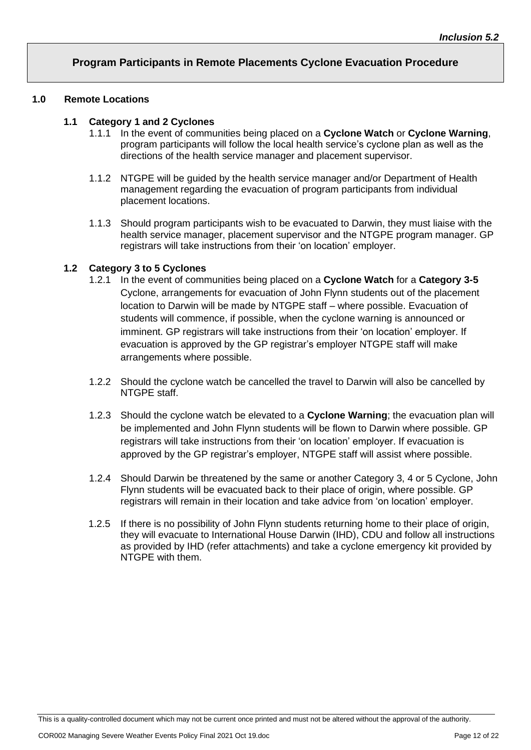# **Program Participants in Remote Placements Cyclone Evacuation Procedure**

#### **1.0 Remote Locations**

#### **1.1 Category 1 and 2 Cyclones**

- 1.1.1 In the event of communities being placed on a **Cyclone Watch** or **Cyclone Warning**, program participants will follow the local health service's cyclone plan as well as the directions of the health service manager and placement supervisor.
- 1.1.2 NTGPE will be guided by the health service manager and/or Department of Health management regarding the evacuation of program participants from individual placement locations.
- 1.1.3 Should program participants wish to be evacuated to Darwin, they must liaise with the health service manager, placement supervisor and the NTGPE program manager. GP registrars will take instructions from their 'on location' employer.

#### **1.2 Category 3 to 5 Cyclones**

- 1.2.1 In the event of communities being placed on a **Cyclone Watch** for a **Category 3-5**  Cyclone, arrangements for evacuation of John Flynn students out of the placement location to Darwin will be made by NTGPE staff – where possible. Evacuation of students will commence, if possible, when the cyclone warning is announced or imminent. GP registrars will take instructions from their 'on location' employer. If evacuation is approved by the GP registrar's employer NTGPE staff will make arrangements where possible.
- 1.2.2 Should the cyclone watch be cancelled the travel to Darwin will also be cancelled by NTGPE staff.
- 1.2.3 Should the cyclone watch be elevated to a **Cyclone Warning**; the evacuation plan will be implemented and John Flynn students will be flown to Darwin where possible. GP registrars will take instructions from their 'on location' employer. If evacuation is approved by the GP registrar's employer, NTGPE staff will assist where possible.
- 1.2.4 Should Darwin be threatened by the same or another Category 3, 4 or 5 Cyclone, John Flynn students will be evacuated back to their place of origin, where possible. GP registrars will remain in their location and take advice from 'on location' employer.
- 1.2.5 If there is no possibility of John Flynn students returning home to their place of origin, they will evacuate to International House Darwin (IHD), CDU and follow all instructions as provided by IHD (refer attachments) and take a cyclone emergency kit provided by NTGPE with them.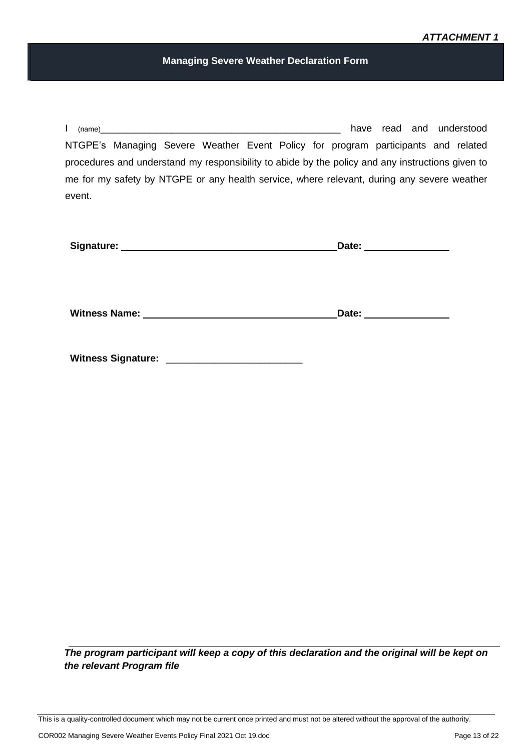#### **Managing Severe Weather Declaration Form**

I (name)\_\_\_\_\_\_\_\_\_\_\_\_\_\_\_\_\_\_\_\_\_\_\_\_\_\_\_\_\_\_\_\_\_\_\_\_\_\_\_\_\_\_\_\_ have read and understood NTGPE's Managing Severe Weather Event Policy for program participants and related procedures and understand my responsibility to abide by the policy and any instructions given to me for my safety by NTGPE or any health service, where relevant, during any severe weather event.

|                                                                                                                                                                                                                                                                   | Date: |  |
|-------------------------------------------------------------------------------------------------------------------------------------------------------------------------------------------------------------------------------------------------------------------|-------|--|
|                                                                                                                                                                                                                                                                   |       |  |
|                                                                                                                                                                                                                                                                   |       |  |
| <b>Witness Name:</b><br><u> 1989 - John Stein, Amerikaansk politiker (</u>                                                                                                                                                                                        | Date: |  |
|                                                                                                                                                                                                                                                                   |       |  |
| <b>Witness Signature:</b><br><u> 1980 - Jan Alexandria de Alexandro de Alexandro de Alexandro de Alexandro de Alexandro de Alexandro de Alexandro de Alexandro de Alexandro de Alexandro de Alexandro de Alexandro de Alexandro de Alexandro de Alexandro de </u> |       |  |

*The program participant will keep a copy of this declaration and the original will be kept on the relevant Program file*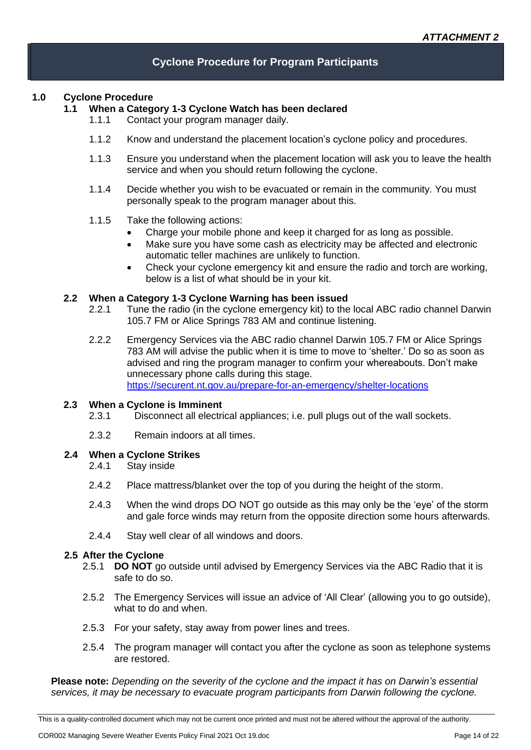# **Cyclone Procedure for Program Participants**

#### **1.0 Cyclone Procedure**

#### **1.1 When a Category 1-3 Cyclone Watch has been declared**

- 1.1.1 Contact your program manager daily.
- 1.1.2 Know and understand the placement location's cyclone policy and procedures.
- 1.1.3 Ensure you understand when the placement location will ask you to leave the health service and when you should return following the cyclone.
- 1.1.4 Decide whether you wish to be evacuated or remain in the community. You must personally speak to the program manager about this.

#### 1.1.5 Take the following actions:

- Charge your mobile phone and keep it charged for as long as possible.
- Make sure you have some cash as electricity may be affected and electronic automatic teller machines are unlikely to function.
- Check your cyclone emergency kit and ensure the radio and torch are working, below is a list of what should be in your kit.

#### **2.2 When a Category 1-3 Cyclone Warning has been issued**

- 2.2.1 Tune the radio (in the cyclone emergency kit) to the local ABC radio channel Darwin 105.7 FM or Alice Springs 783 AM and continue listening.
- 2.2.2 Emergency Services via the ABC radio channel Darwin 105.7 FM or Alice Springs 783 AM will advise the public when it is time to move to 'shelter.' Do so as soon as advised and ring the program manager to confirm your whereabouts. Don't make unnecessary phone calls during this stage. <https://securent.nt.gov.au/prepare-for-an-emergency/shelter-locations>

#### **2.3 When a Cyclone is Imminent**

- 2.3.1 Disconnect all electrical appliances; i.e. pull plugs out of the wall sockets.
- 2.3.2 Remain indoors at all times.

#### **2.4 When a Cyclone Strikes**

- 2.4.1 Stay inside
- 2.4.2 Place mattress/blanket over the top of you during the height of the storm.
- 2.4.3 When the wind drops DO NOT go outside as this may only be the 'eye' of the storm and gale force winds may return from the opposite direction some hours afterwards.
- 2.4.4 Stay well clear of all windows and doors.

#### **2.5 After the Cyclone**

- 2.5.1 **DO NOT** go outside until advised by Emergency Services via the ABC Radio that it is safe to do so.
- 2.5.2 The Emergency Services will issue an advice of 'All Clear' (allowing you to go outside), what to do and when.
- 2.5.3 For your safety, stay away from power lines and trees.
- 2.5.4 The program manager will contact you after the cyclone as soon as telephone systems are restored.

**Please note:** *Depending on the severity of the cyclone and the impact it has on Darwin's essential services, it may be necessary to evacuate program participants from Darwin following the cyclone.*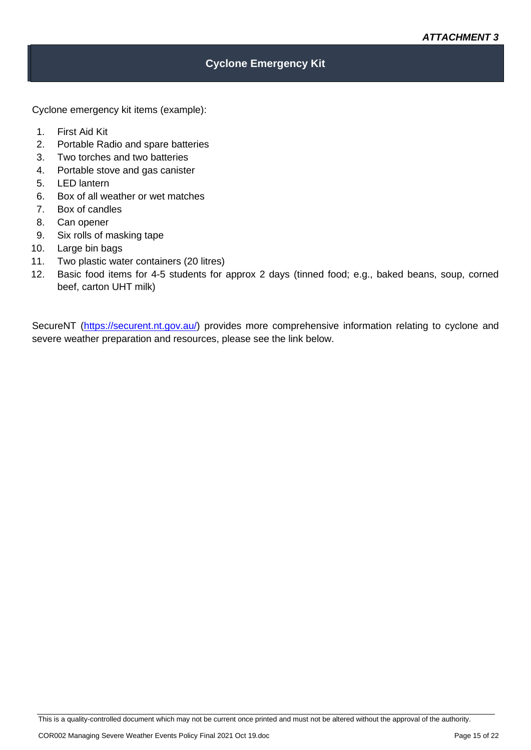# **Cyclone Emergency Kit**

Cyclone emergency kit items (example):

- 1. First Aid Kit
- 2. Portable Radio and spare batteries
- 3. Two torches and two batteries
- 4. Portable stove and gas canister
- 5. LED lantern
- 6. Box of all weather or wet matches
- 7. Box of candles
- 8. Can opener
- 9. Six rolls of masking tape
- 10. Large bin bags
- 11. Two plastic water containers (20 litres)
- 12. Basic food items for 4-5 students for approx 2 days (tinned food; e.g., baked beans, soup, corned beef, carton UHT milk)

SecureNT [\(https://securent.nt.gov.au/\)](https://securent.nt.gov.au/) provides more comprehensive information relating to cyclone and severe weather preparation and resources, please see the link below.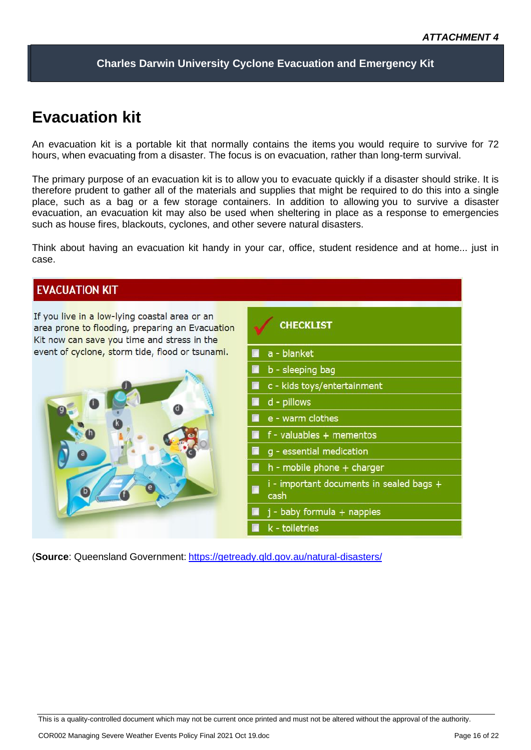**Charles Darwin University Cyclone Evacuation and Emergency Kit**

# **Evacuation kit**

An evacuation kit is a portable kit that normally contains the items you would require to survive for 72 hours, when evacuating from a disaster. The focus is on evacuation, rather than long-term survival.

The primary purpose of an evacuation kit is to allow you to evacuate quickly if a disaster should strike. It is therefore prudent to gather all of the materials and supplies that might be required to do this into a single place, such as a bag or a few storage containers. In addition to allowing you to survive a disaster evacuation, an evacuation kit may also be used when sheltering in place as a response to emergencies such as house fires, blackouts, cyclones, and other severe natural disasters.

Think about having an evacuation kit handy in your car, office, student residence and at home... just in case.

# **EVACUATION KIT**

If you live in a low-lying coastal area or an area prone to flooding, preparing an Evacuation Kit now can save you time and stress in the event of cyclone, storm tide, flood or tsunami.





(**Source**: Queensland Government: <https://getready.qld.gov.au/natural-disasters/>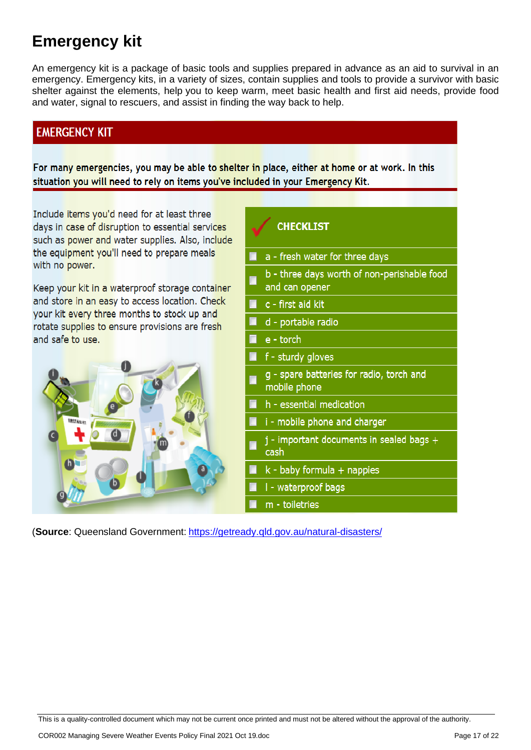# **Emergency kit**

An emergency kit is a package of basic tools and supplies prepared in advance as an aid to survival in an emergency. Emergency kits, in a variety of sizes, contain supplies and tools to provide a survivor with basic shelter against the elements, help you to keep warm, meet basic health and first aid needs, provide food and water, signal to rescuers, and assist in finding the way back to help.

# **EMERGENCY KIT**

For many emergencies, you may be able to shelter in place, either at home or at work. In this situation you will need to rely on items you've included in your Emergency Kit.

Include items you'd need for at least three days in case of disruption to essential services such as power and water supplies. Also, include the equipment you'll need to prepare meals with no power.

Keep your kit in a waterproof storage container and store in an easy to access location. Check your kit every three months to stock up and rotate supplies to ensure provisions are fresh and safe to use.



# **CHECKLIST** a - fresh water for three days b - three days worth of non-perishable food and can opener c - first aid kit d - portable radio e - torch f - sturdy gloves g - spare batteries for radio, torch and mobile phone h - essential medication i - mobile phone and charger j - important documents in sealed bags + cash k - baby formula + nappies I - waterproof bags m - toiletries

(**Source**: Queensland Government: <https://getready.qld.gov.au/natural-disasters/>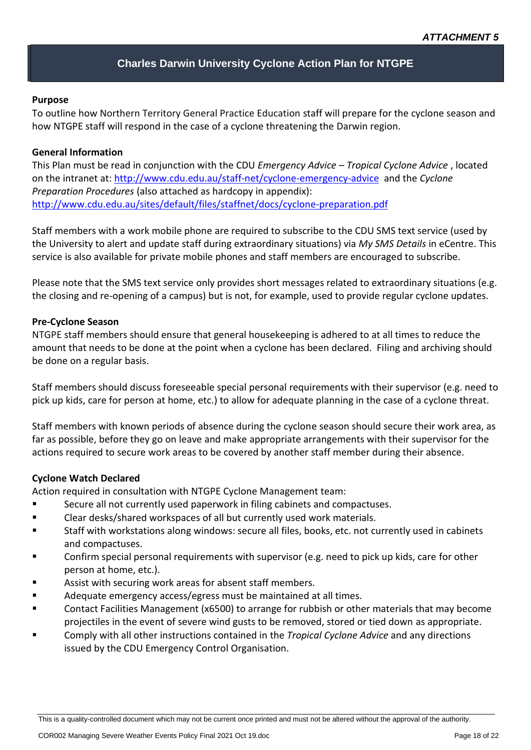# **Charles Darwin University Cyclone Action Plan for NTGPE**

#### **Purpose**

To outline how Northern Territory General Practice Education staff will prepare for the cyclone season and how NTGPE staff will respond in the case of a cyclone threatening the Darwin region.

#### **General Information**

This Plan must be read in conjunction with the CDU *Emergency Advice – Tropical Cyclone Advice* , located on the intranet at:<http://www.cdu.edu.au/staff-net/cyclone-emergency-advice> and the *Cyclone Preparation Procedures* (also attached as hardcopy in appendix): <http://www.cdu.edu.au/sites/default/files/staffnet/docs/cyclone-preparation.pdf>

Staff members with a work mobile phone are required to subscribe to the CDU SMS text service (used by the University to alert and update staff during extraordinary situations) via *My SMS Details* in eCentre. This service is also available for private mobile phones and staff members are encouraged to subscribe.

Please note that the SMS text service only provides short messages related to extraordinary situations (e.g. the closing and re-opening of a campus) but is not, for example, used to provide regular cyclone updates.

#### **Pre-Cyclone Season**

NTGPE staff members should ensure that general housekeeping is adhered to at all times to reduce the amount that needs to be done at the point when a cyclone has been declared. Filing and archiving should be done on a regular basis.

Staff members should discuss foreseeable special personal requirements with their supervisor (e.g. need to pick up kids, care for person at home, etc.) to allow for adequate planning in the case of a cyclone threat.

Staff members with known periods of absence during the cyclone season should secure their work area, as far as possible, before they go on leave and make appropriate arrangements with their supervisor for the actions required to secure work areas to be covered by another staff member during their absence.

#### **Cyclone Watch Declared**

Action required in consultation with NTGPE Cyclone Management team:

- Secure all not currently used paperwork in filing cabinets and compactuses.
- Clear desks/shared workspaces of all but currently used work materials.
- Staff with workstations along windows: secure all files, books, etc. not currently used in cabinets and compactuses.
- Confirm special personal requirements with supervisor (e.g. need to pick up kids, care for other person at home, etc.).
- Assist with securing work areas for absent staff members.
- Adequate emergency access/egress must be maintained at all times.
- Contact Facilities Management (x6500) to arrange for rubbish or other materials that may become projectiles in the event of severe wind gusts to be removed, stored or tied down as appropriate.
- Comply with all other instructions contained in the *Tropical Cyclone Advice* and any directions issued by the CDU Emergency Control Organisation.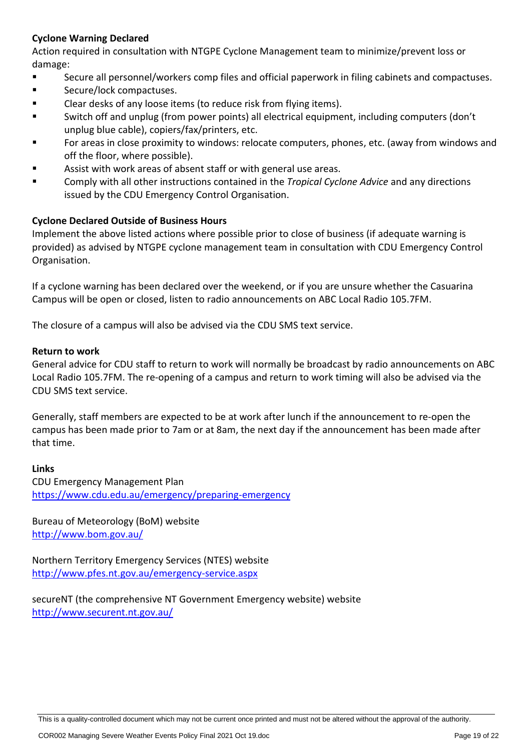# **Cyclone Warning Declared**

Action required in consultation with NTGPE Cyclone Management team to minimize/prevent loss or damage:

- Secure all personnel/workers comp files and official paperwork in filing cabinets and compactuses.
- Secure/lock compactuses.
- Clear desks of any loose items (to reduce risk from flying items).
- Switch off and unplug (from power points) all electrical equipment, including computers (don't unplug blue cable), copiers/fax/printers, etc.
- For areas in close proximity to windows: relocate computers, phones, etc. (away from windows and off the floor, where possible).
- Assist with work areas of absent staff or with general use areas.
- Comply with all other instructions contained in the *Tropical Cyclone Advice* and any directions issued by the CDU Emergency Control Organisation.

# **Cyclone Declared Outside of Business Hours**

Implement the above listed actions where possible prior to close of business (if adequate warning is provided) as advised by NTGPE cyclone management team in consultation with CDU Emergency Control Organisation.

If a cyclone warning has been declared over the weekend, or if you are unsure whether the Casuarina Campus will be open or closed, listen to radio announcements on ABC Local Radio 105.7FM.

The closure of a campus will also be advised via the CDU SMS text service.

#### **Return to work**

General advice for CDU staff to return to work will normally be broadcast by radio announcements on ABC Local Radio 105.7FM. The re-opening of a campus and return to work timing will also be advised via the CDU SMS text service.

Generally, staff members are expected to be at work after lunch if the announcement to re-open the campus has been made prior to 7am or at 8am, the next day if the announcement has been made after that time.

# **Links**

CDU Emergency Management Plan <https://www.cdu.edu.au/emergency/preparing-emergency>

Bureau of Meteorology (BoM) website <http://www.bom.gov.au/>

Northern Territory Emergency Services (NTES) website <http://www.pfes.nt.gov.au/emergency-service.aspx>

secureNT (the comprehensive NT Government Emergency website) website <http://www.securent.nt.gov.au/>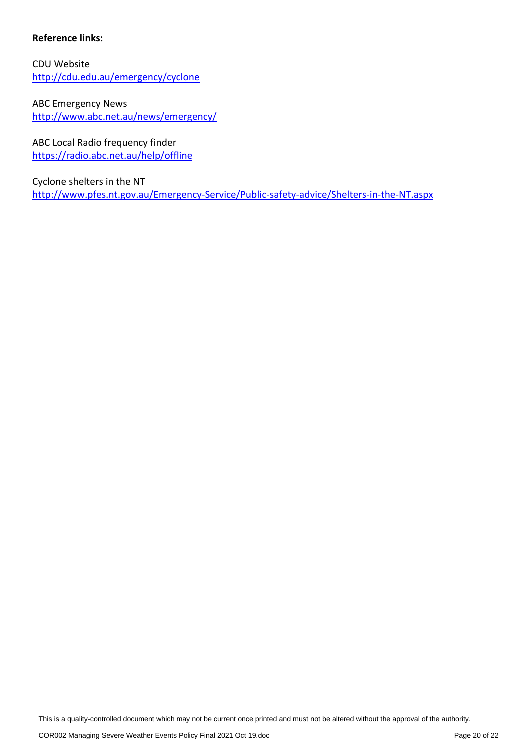# **Reference links:**

CDU Website <http://cdu.edu.au/emergency/cyclone>

ABC Emergency News <http://www.abc.net.au/news/emergency/>

ABC Local Radio frequency finder <https://radio.abc.net.au/help/offline>

Cyclone shelters in the NT <http://www.pfes.nt.gov.au/Emergency-Service/Public-safety-advice/Shelters-in-the-NT.aspx>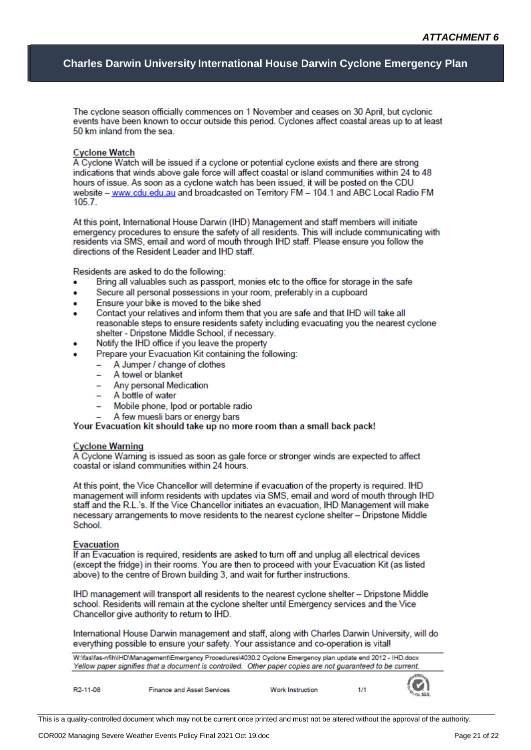#### **Charles Darwin University International House Darwin Cyclone Emergency Plan**

The cyclone season officially commences on 1 November and ceases on 30 April, but cyclonic events have been known to occur outside this period. Cyclones affect coastal areas up to at least 50 km inland from the sea.

#### **Cyclone Watch**

A Cyclone Watch will be issued if a cyclone or potential cyclone exists and there are strong indications that winds above gale force will affect coastal or island communities within 24 to 48 hours of issue. As soon as a cyclone watch has been issued, it will be posted on the CDU website - www.cdu.edu.au and broadcasted on Territory FM - 104.1 and ABC Local Radio FM  $105.7.$ 

At this point, International House Darwin (IHD) Management and staff members will initiate emergency procedures to ensure the safety of all residents. This will include communicating with residents via SMS, email and word of mouth through IHD staff. Please ensure you follow the directions of the Resident Leader and IHD staff.

Residents are asked to do the following:

- Bring all valuables such as passport, monies etc to the office for storage in the safe
- Secure all personal possessions in your room, preferably in a cupboard
- Ensure your bike is moved to the bike shed
- Contact your relatives and inform them that you are safe and that IHD will take all reasonable steps to ensure residents safety including evacuating you the nearest cyclone shelter - Dripstone Middle School, if necessary.
- Notify the IHD office if you leave the property
- Prepare your Evacuation Kit containing the following:
	- A Jumper / change of clothes
	- A towel or blanket
	- Any personal Medication
	- A bottle of water
	- Mobile phone, Ipod or portable radio
	- A few muesli bars or energy bars

Your Evacuation kit should take up no more room than a small back pack!

#### **Cyclone Warning**

A Cyclone Warning is issued as soon as gale force or stronger winds are expected to affect coastal or island communities within 24 hours.

At this point, the Vice Chancellor will determine if evacuation of the property is required. IHD management will inform residents with updates via SMS, email and word of mouth through IHD staff and the R.L.'s. If the Vice Chancellor initiates an evacuation, IHD Management will make necessary arrangements to move residents to the nearest cyclone shelter - Dripstone Middle School.

#### **Evacuation**

If an Evacuation is required, residents are asked to turn off and unplug all electrical devices (except the fridge) in their rooms. You are then to proceed with your Evacuation Kit (as listed above) to the centre of Brown building 3, and wait for further instructions.

IHD management will transport all residents to the nearest cyclone shelter - Dripstone Middle school. Residents will remain at the cyclone shelter until Emergency services and the Vice Chancellor give authority to return to IHD.

International House Darwin management and staff, along with Charles Darwin University, will do everything possible to ensure your safety. Your assistance and co-operation is vital!

| W:\fas\fas-nfih\IHD\Management\Emergency Procedures\4030.2 Cyclone Emergency plan update end 2012 - IHD.docx<br>Yellow paper signifies that a document is controlled. Other paper copies are not guaranteed to be current. |                                   |                         |     |         |
|----------------------------------------------------------------------------------------------------------------------------------------------------------------------------------------------------------------------------|-----------------------------------|-------------------------|-----|---------|
| R <sub>2</sub> -11-08                                                                                                                                                                                                      | <b>Finance and Asset Services</b> | <b>Work Instruction</b> | 1/1 | $\odot$ |